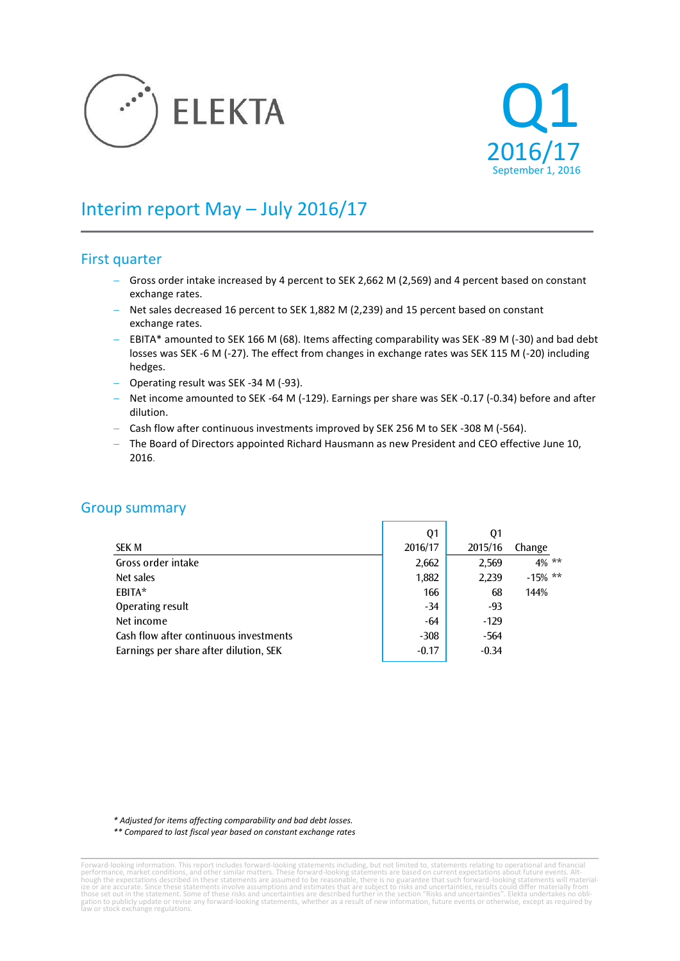



# Interim report May – July 2016/17

## First quarter

- Gross order intake increased by 4 percent to SEK 2,662 M (2,569) and 4 percent based on constant exchange rates.
- Net sales decreased 16 percent to SEK 1,882 M (2,239) and 15 percent based on constant exchange rates.
- $-$  EBITA\* amounted to SEK 166 M (68). Items affecting comparability was SEK -89 M (-30) and bad debt losses was SEK -6 M (-27). The effect from changes in exchange rates was SEK 115 M (-20) including hedges.
- Operating result was SEK -34 M (-93).
- Net income amounted to SEK -64 M (-129). Earnings per share was SEK -0.17 (-0.34) before and after dilution.
- Cash flow after continuous investments improved by SEK 256 M to SEK -308 M (-564).
- The Board of Directors appointed Richard Hausmann as new President and CEO effective June 10, 2016.

## Group summary

|                                        | Q1      | Q1      |            |
|----------------------------------------|---------|---------|------------|
| SEK M                                  | 2016/17 | 2015/16 | Change     |
| Gross order intake                     | 2,662   | 2,569   | $4\%$ **   |
| Net sales                              | 1,882   | 2,239   | $-15\%$ ** |
| EBITA*                                 | 166     | 68      | 144%       |
| Operating result                       | $-34$   | -93     |            |
| Net income                             | -64     | $-129$  |            |
| Cash flow after continuous investments | $-308$  | $-564$  |            |
| Earnings per share after dilution, SEK | $-0.17$ | $-0.34$ |            |
|                                        |         |         |            |

*\* Adjusted for items affecting comparability and bad debt losses.*

*\*\* Compared to last fiscal year based on constant exchange rates*

Forward-looking information. This report includes forward-looking statements including, but not limited to, statements relating to operational and financial<br>performance, market conditions, and other similar matters. These gation to publicly update or revise any forward-looking statements, whether as a result of new information, future events or otherwise, except as required by law or stock exchange regulations.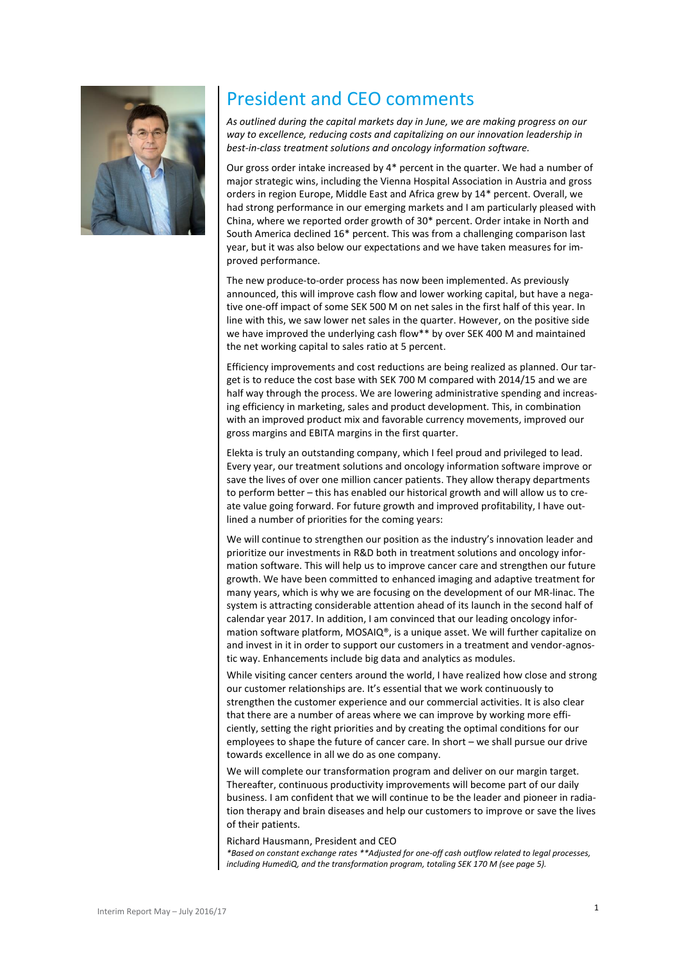

# President and CEO comments

*As outlined during the capital markets day in June, we are making progress on our way to excellence, reducing costs and capitalizing on our innovation leadership in best-in-class treatment solutions and oncology information software.* 

Our gross order intake increased by 4\* percent in the quarter. We had a number of major strategic wins, including the Vienna Hospital Association in Austria and gross orders in region Europe, Middle East and Africa grew by 14\* percent. Overall, we had strong performance in our emerging markets and I am particularly pleased with China, where we reported order growth of 30\* percent. Order intake in North and South America declined 16\* percent. This was from a challenging comparison last year, but it was also below our expectations and we have taken measures for improved performance.

The new produce-to-order process has now been implemented. As previously announced, this will improve cash flow and lower working capital, but have a negative one-off impact of some SEK 500 M on net sales in the first half of this year. In line with this, we saw lower net sales in the quarter. However, on the positive side we have improved the underlying cash flow\*\* by over SEK 400 M and maintained the net working capital to sales ratio at 5 percent.

Efficiency improvements and cost reductions are being realized as planned. Our target is to reduce the cost base with SEK 700 M compared with 2014/15 and we are half way through the process. We are lowering administrative spending and increasing efficiency in marketing, sales and product development. This, in combination with an improved product mix and favorable currency movements, improved our gross margins and EBITA margins in the first quarter.

Elekta is truly an outstanding company, which I feel proud and privileged to lead. Every year, our treatment solutions and oncology information software improve or save the lives of over one million cancer patients. They allow therapy departments to perform better – this has enabled our historical growth and will allow us to create value going forward. For future growth and improved profitability, I have outlined a number of priorities for the coming years:

We will continue to strengthen our position as the industry's innovation leader and prioritize our investments in R&D both in treatment solutions and oncology information software. This will help us to improve cancer care and strengthen our future growth. We have been committed to enhanced imaging and adaptive treatment for many years, which is why we are focusing on the development of our MR-linac. The system is attracting considerable attention ahead of its launch in the second half of calendar year 2017. In addition, I am convinced that our leading oncology information software platform, MOSAIQ®, is a unique asset. We will further capitalize on and invest in it in order to support our customers in a treatment and vendor-agnostic way. Enhancements include big data and analytics as modules.

While visiting cancer centers around the world, I have realized how close and strong our customer relationships are. It's essential that we work continuously to strengthen the customer experience and our commercial activities. It is also clear that there are a number of areas where we can improve by working more efficiently, setting the right priorities and by creating the optimal conditions for our employees to shape the future of cancer care. In short – we shall pursue our drive towards excellence in all we do as one company.

We will complete our transformation program and deliver on our margin target. Thereafter, continuous productivity improvements will become part of our daily business. I am confident that we will continue to be the leader and pioneer in radiation therapy and brain diseases and help our customers to improve or save the lives of their patients.

Richard Hausmann, President and CEO *\*Based on constant exchange rates \*\*Adjusted for one-off cash outflow related to legal processes, including HumediQ, and the transformation program, totaling SEK 170 M (see page 5).*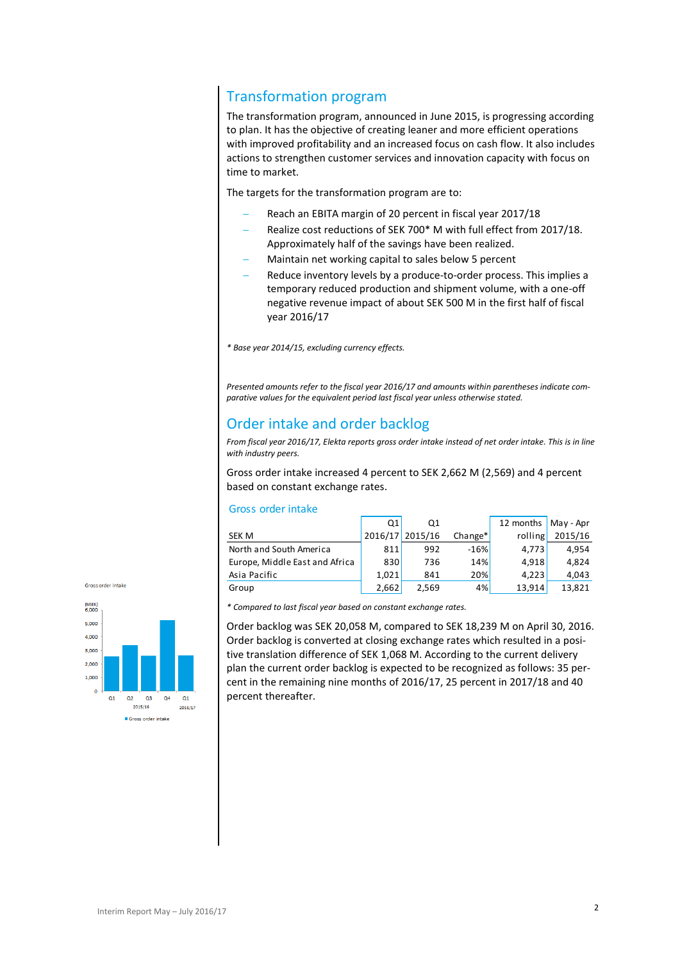## Transformation program

The transformation program, announced in June 2015, is progressing according to plan. It has the objective of creating leaner and more efficient operations with improved profitability and an increased focus on cash flow. It also includes actions to strengthen customer services and innovation capacity with focus on time to market.

The targets for the transformation program are to:

- Reach an EBITA margin of 20 percent in fiscal year 2017/18
- Realize cost reductions of SEK 700\* M with full effect from 2017/18. Approximately half of the savings have been realized.
- Maintain net working capital to sales below 5 percent
- Reduce inventory levels by a produce-to-order process. This implies a temporary reduced production and shipment volume, with a one-off negative revenue impact of about SEK 500 M in the first half of fiscal year 2016/17

*\* Base year 2014/15, excluding currency effects.*

*Presented amounts refer to the fiscal year 2016/17 and amounts within parentheses indicate comparative values for the equivalent period last fiscal year unless otherwise stated.*

## Order intake and order backlog

*From fiscal year 2016/17, Elekta reports gross order intake instead of net order intake. This is in line with industry peers.*

Gross order intake increased 4 percent to SEK 2,662 M (2,569) and 4 percent based on constant exchange rates.

#### Gross order intake

|                                | Q1    | Q1              |            | 12 months   May - Apr |         |
|--------------------------------|-------|-----------------|------------|-----------------------|---------|
| SEK M                          |       | 2016/17 2015/16 | Change*    | rolling               | 2015/16 |
| North and South America        | 811   | 992             | $-16%$     | 4.773                 | 4,954   |
| Europe, Middle East and Africa | 830   | 736             | <b>14%</b> | 4,918                 | 4,824   |
| Asia Pacific                   | 1.021 | 841             | 20%        | 4,223                 | 4,043   |
| Group                          | 2,662 | 2,569           | 4%         | 13,914                | 13,821  |
|                                |       |                 |            |                       |         |





*\* Compared to last fiscal year based on constant exchange rates.*

Order backlog was SEK 20,058 M, compared to SEK 18,239 M on April 30, 2016. Order backlog is converted at closing exchange rates which resulted in a positive translation difference of SEK 1,068 M. According to the current delivery plan the current order backlog is expected to be recognized as follows: 35 percent in the remaining nine months of 2016/17, 25 percent in 2017/18 and 40 percent thereafter.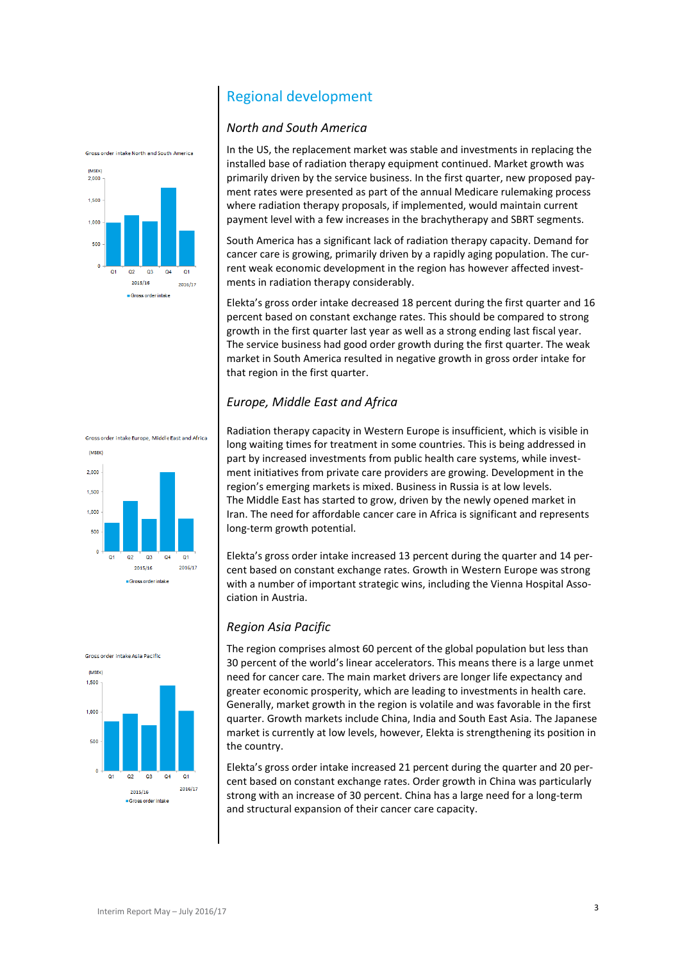## Regional development

### *North and South America*

In the US, the replacement market was stable and investments in replacing the installed base of radiation therapy equipment continued. Market growth was primarily driven by the service business. In the first quarter, new proposed payment rates were presented as part of the annual Medicare rulemaking process where radiation therapy proposals, if implemented, would maintain current payment level with a few increases in the brachytherapy and SBRT segments.

South America has a significant lack of radiation therapy capacity. Demand for cancer care is growing, primarily driven by a rapidly aging population. The current weak economic development in the region has however affected investments in radiation therapy considerably.

Elekta's gross order intake decreased 18 percent during the first quarter and 16 percent based on constant exchange rates. This should be compared to strong growth in the first quarter last year as well as a strong ending last fiscal year. The service business had good order growth during the first quarter. The weak market in South America resulted in negative growth in gross order intake for that region in the first quarter.

## *Europe, Middle East and Africa*

Radiation therapy capacity in Western Europe is insufficient, which is visible in long waiting times for treatment in some countries. This is being addressed in part by increased investments from public health care systems, while investment initiatives from private care providers are growing. Development in the region's emerging markets is mixed. Business in Russia is at low levels. The Middle East has started to grow, driven by the newly opened market in Iran. The need for affordable cancer care in Africa is significant and represents long-term growth potential.

Elekta's gross order intake increased 13 percent during the quarter and 14 percent based on constant exchange rates. Growth in Western Europe was strong with a number of important strategic wins, including the Vienna Hospital Association in Austria.

## *Region Asia Pacific*

The region comprises almost 60 percent of the global population but less than 30 percent of the world's linear accelerators. This means there is a large unmet need for cancer care. The main market drivers are longer life expectancy and greater economic prosperity, which are leading to investments in health care. Generally, market growth in the region is volatile and was favorable in the first quarter. Growth markets include China, India and South East Asia. The Japanese market is currently at low levels, however, Elekta is strengthening its position in the country.

Elekta's gross order intake increased 21 percent during the quarter and 20 percent based on constant exchange rates. Order growth in China was particularly strong with an increase of 30 percent. China has a large need for a long-term and structural expansion of their cancer care capacity.









Gross order intake North and South America

**(MSEK**  $2000$ 1.500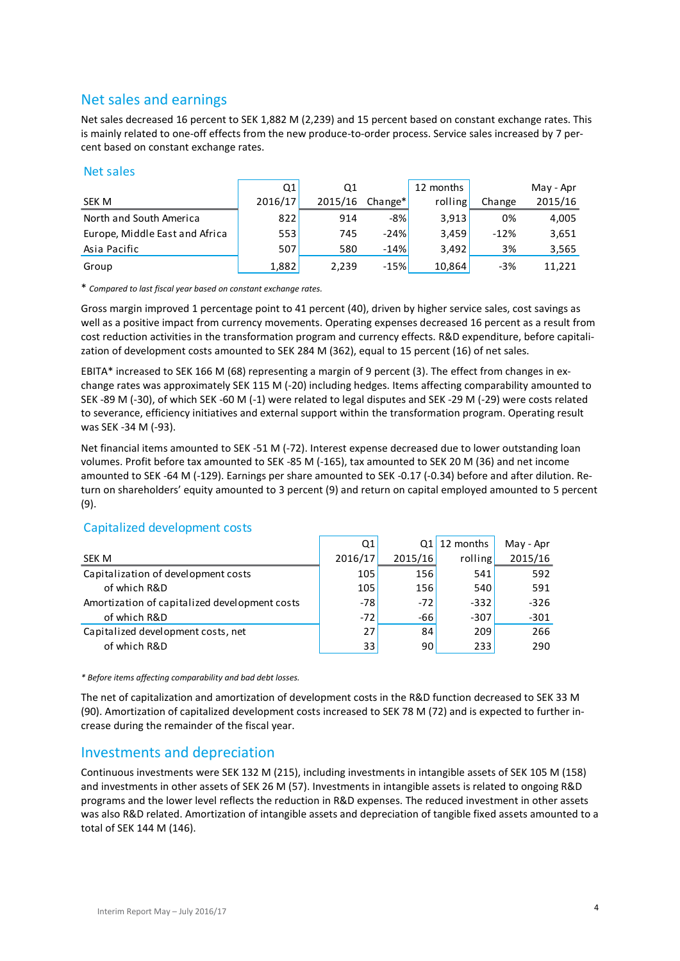## Net sales and earnings

Net sales decreased 16 percent to SEK 1,882 M (2,239) and 15 percent based on constant exchange rates. This is mainly related to one-off effects from the new produce-to-order process. Service sales increased by 7 percent based on constant exchange rates.

#### Net sales

| <b>NEL SAILS</b>               |         |         |         |           |        |           |
|--------------------------------|---------|---------|---------|-----------|--------|-----------|
|                                | Ο1      | Q1      |         | 12 months |        | May - Apr |
| SEK M                          | 2016/17 | 2015/16 | Change* | rolling   | Change | 2015/16   |
| North and South America        | 822     | 914     | -8%     | 3,913     | 0%     | 4,005     |
| Europe, Middle East and Africa | 553     | 745     | $-24%$  | 3,459     | $-12%$ | 3,651     |
| Asia Pacific                   | 507     | 580     | $-14%$  | 3.492     | 3%     | 3,565     |
| Group                          | 1,882   | 2,239   | $-15%$  | 10,864    | $-3%$  | 11,221    |

\* *Compared to last fiscal year based on constant exchange rates.*

Gross margin improved 1 percentage point to 41 percent (40), driven by higher service sales, cost savings as well as a positive impact from currency movements. Operating expenses decreased 16 percent as a result from cost reduction activities in the transformation program and currency effects. R&D expenditure, before capitalization of development costs amounted to SEK 284 M (362), equal to 15 percent (16) of net sales.

EBITA\* increased to SEK 166 M (68) representing a margin of 9 percent (3). The effect from changes in exchange rates was approximately SEK 115 M (-20) including hedges. Items affecting comparability amounted to SEK -89 M (-30), of which SEK -60 M (-1) were related to legal disputes and SEK -29 M (-29) were costs related to severance, efficiency initiatives and external support within the transformation program. Operating result was SEK -34 M (-93).

Net financial items amounted to SEK -51 M (-72). Interest expense decreased due to lower outstanding loan volumes. Profit before tax amounted to SEK -85 M (-165), tax amounted to SEK 20 M (36) and net income amounted to SEK -64 M (-129). Earnings per share amounted to SEK -0.17 (-0.34) before and after dilution. Return on shareholders' equity amounted to 3 percent (9) and return on capital employed amounted to 5 percent (9).

## Capitalized development costs

|                                               | Q1      |         | $Q1$ 12 months | May - Apr |
|-----------------------------------------------|---------|---------|----------------|-----------|
| SEK M                                         | 2016/17 | 2015/16 | rolling        | 2015/16   |
| Capitalization of development costs           | 105     | 156     | 541            | 592       |
| of which R&D                                  | 105     | 156     | 540            | 591       |
| Amortization of capitalized development costs | $-78$   | $-72$   | $-332$         | $-326$    |
| of which R&D                                  | $-72$   | $-66$   | $-307$         | $-301$    |
| Capitalized development costs, net            | 27      | 84      | 209            | 266       |
| of which R&D                                  | 33      | 90      | 233            | 290       |
|                                               |         |         |                |           |

*\* Before items affecting comparability and bad debt losses.*

The net of capitalization and amortization of development costs in the R&D function decreased to SEK 33 M (90). Amortization of capitalized development costs increased to SEK 78 M (72) and is expected to further increase during the remainder of the fiscal year.

## Investments and depreciation

Continuous investments were SEK 132 M (215), including investments in intangible assets of SEK 105 M (158) and investments in other assets of SEK 26 M (57). Investments in intangible assets is related to ongoing R&D programs and the lower level reflects the reduction in R&D expenses. The reduced investment in other assets was also R&D related. Amortization of intangible assets and depreciation of tangible fixed assets amounted to a total of SEK 144 M (146).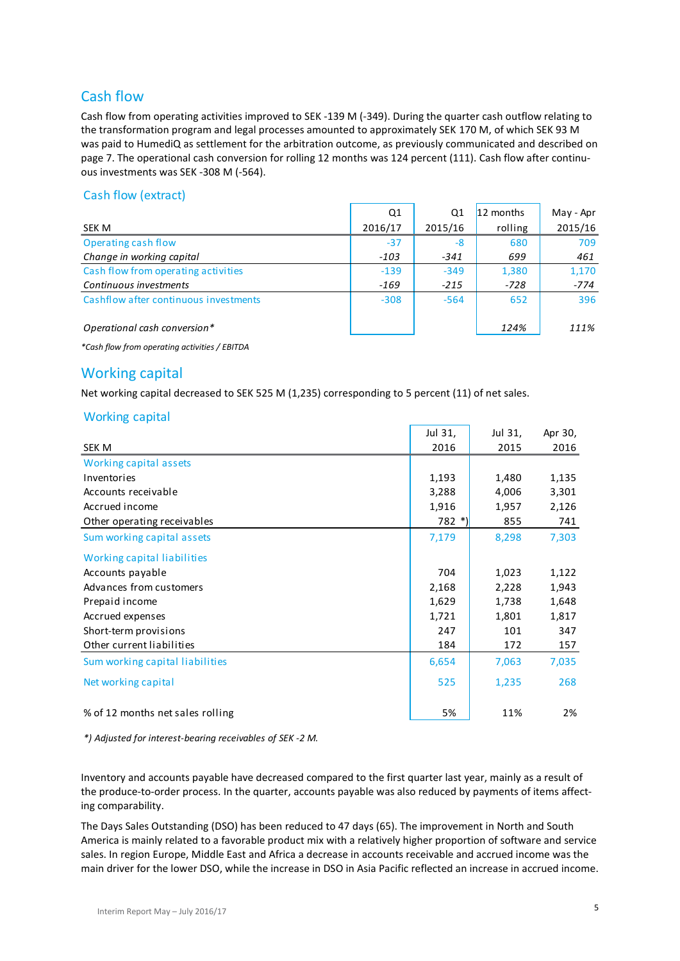## Cash flow

Cash flow from operating activities improved to SEK -139 M (-349). During the quarter cash outflow relating to the transformation program and legal processes amounted to approximately SEK 170 M, of which SEK 93 M was paid to HumediQ as settlement for the arbitration outcome, as previously communicated and described on page 7. The operational cash conversion for rolling 12 months was 124 percent (111). Cash flow after continuous investments was SEK -308 M (-564).

### Cash flow (extract)

|                                       | Q1      | Q1      | 12 months | May - Apr |
|---------------------------------------|---------|---------|-----------|-----------|
| SEK M                                 | 2016/17 | 2015/16 | rolling   | 2015/16   |
| Operating cash flow                   | $-37$   | -8      | 680       | 709       |
| Change in working capital             | $-103$  | $-341$  | 699       | 461       |
| Cash flow from operating activities   | $-139$  | $-349$  | 1,380     | 1,170     |
| Continuous investments                | $-169$  | $-215$  | $-728$    | $-774$    |
| Cashflow after continuous investments | $-308$  | $-564$  | 652       | 396       |
| Operational cash conversion*          |         |         | 124%      | 111%      |

*\*Cash flow from operating activities / EBITDA*

## Working capital

Net working capital decreased to SEK 525 M (1,235) corresponding to 5 percent (11) of net sales.

### Working capital

|                                  | Jul 31, | Jul 31, | Apr 30, |
|----------------------------------|---------|---------|---------|
| SEK M                            | 2016    | 2015    | 2016    |
| Working capital assets           |         |         |         |
| Inventories                      | 1,193   | 1,480   | 1,135   |
| Accounts receivable              | 3,288   | 4,006   | 3,301   |
| Accrued income                   | 1,916   | 1,957   | 2,126   |
| Other operating receivables      | $782 *$ | 855     | 741     |
| Sum working capital assets       | 7,179   | 8,298   | 7,303   |
| Working capital liabilities      |         |         |         |
| Accounts payable                 | 704     | 1,023   | 1,122   |
| Advances from customers          | 2,168   | 2,228   | 1,943   |
| Prepaid income                   | 1,629   | 1,738   | 1,648   |
| Accrued expenses                 | 1,721   | 1,801   | 1,817   |
| Short-term provisions            | 247     | 101     | 347     |
| Other current liabilities        | 184     | 172     | 157     |
| Sum working capital liabilities  | 6,654   | 7,063   | 7,035   |
| Net working capital              | 525     | 1,235   | 268     |
| % of 12 months net sales rolling | 5%      | 11%     | 2%      |

*\*) Adjusted for interest-bearing receivables of SEK -2 M.*

Inventory and accounts payable have decreased compared to the first quarter last year, mainly as a result of the produce-to-order process. In the quarter, accounts payable was also reduced by payments of items affecting comparability.

The Days Sales Outstanding (DSO) has been reduced to 47 days (65). The improvement in North and South America is mainly related to a favorable product mix with a relatively higher proportion of software and service sales. In region Europe, Middle East and Africa a decrease in accounts receivable and accrued income was the main driver for the lower DSO, while the increase in DSO in Asia Pacific reflected an increase in accrued income.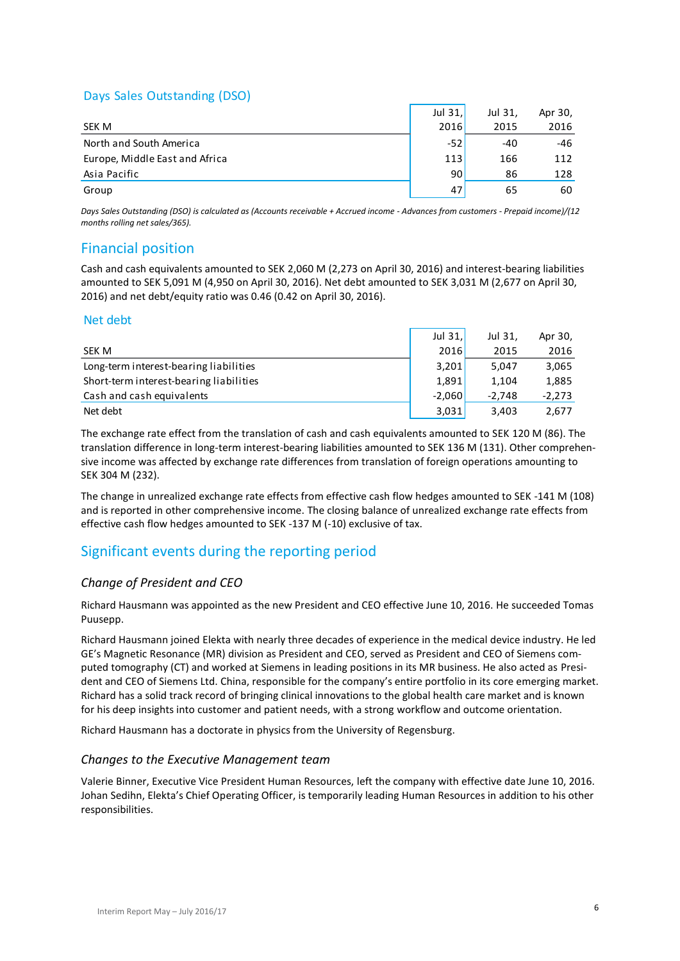## Days Sales Outstanding (DSO)

|                                                                                                                        | Jul $31$ , | Jul 31, | Apr 30, |
|------------------------------------------------------------------------------------------------------------------------|------------|---------|---------|
| SEK M                                                                                                                  | 2016       | 2015    | 2016    |
| North and South America                                                                                                | $-52$      | -40     | -46     |
| Europe, Middle East and Africa                                                                                         | 113        | 166     | 112     |
| Asia Pacific                                                                                                           | 90         | 86      | 128     |
| Group                                                                                                                  | 47         | 65      | 60      |
| Davis Caler Octobrillis (DCO) is related and homeonic assimilary homeonic advances from motorcom Davisid inspected the |            |         |         |

*Days Sales Outstanding (DSO) is calculated as (Accounts receivable + Accrued income - Advances from customers - Prepaid income)/(12 months rolling net sales/365).*

## Financial position

Cash and cash equivalents amounted to SEK 2,060 M (2,273 on April 30, 2016) and interest-bearing liabilities amounted to SEK 5,091 M (4,950 on April 30, 2016). Net debt amounted to SEK 3,031 M (2,677 on April 30, 2016) and net debt/equity ratio was 0.46 (0.42 on April 30, 2016).

### Net debt

|                                         | Jul 31,  | Jul 31,  | Apr 30,  |
|-----------------------------------------|----------|----------|----------|
| SEK M                                   | 2016     | 2015     | 2016     |
| Long-term interest-bearing liabilities  | 3.201    | 5.047    | 3,065    |
| Short-term interest-bearing liabilities | 1.891    | 1.104    | 1,885    |
| Cash and cash equivalents               | $-2.060$ | $-2.748$ | $-2,273$ |
| Net debt                                | 3,031    | 3,403    | 2,677    |

The exchange rate effect from the translation of cash and cash equivalents amounted to SEK 120 M (86). The translation difference in long-term interest-bearing liabilities amounted to SEK 136 M (131). Other comprehensive income was affected by exchange rate differences from translation of foreign operations amounting to SEK 304 M (232).

The change in unrealized exchange rate effects from effective cash flow hedges amounted to SEK -141 M (108) and is reported in other comprehensive income. The closing balance of unrealized exchange rate effects from effective cash flow hedges amounted to SEK -137 M (-10) exclusive of tax.

## Significant events during the reporting period

## *Change of President and CEO*

Richard Hausmann was appointed as the new President and CEO effective June 10, 2016. He succeeded Tomas Puusepp.

Richard Hausmann joined Elekta with nearly three decades of experience in the medical device industry. He led GE's Magnetic Resonance (MR) division as President and CEO, served as President and CEO of Siemens computed tomography (CT) and worked at Siemens in leading positions in its MR business. He also acted as President and CEO of Siemens Ltd. China, responsible for the company's entire portfolio in its core emerging market. Richard has a solid track record of bringing clinical innovations to the global health care market and is known for his deep insights into customer and patient needs, with a strong workflow and outcome orientation.

Richard Hausmann has a doctorate in physics from the University of Regensburg.

### *Changes to the Executive Management team*

Valerie Binner, Executive Vice President Human Resources, left the company with effective date June 10, 2016. Johan Sedihn, Elekta's Chief Operating Officer, is temporarily leading Human Resources in addition to his other responsibilities.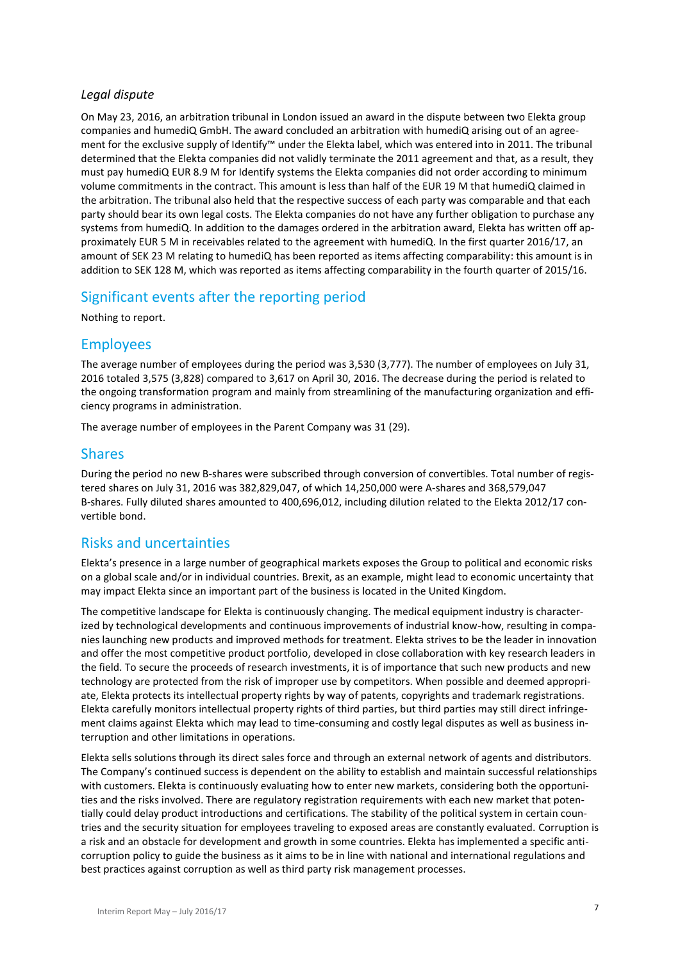### *Legal dispute*

On May 23, 2016, an arbitration tribunal in London issued an award in the dispute between two Elekta group companies and humediQ GmbH. The award concluded an arbitration with humediQ arising out of an agreement for the exclusive supply of Identify™ under the Elekta label, which was entered into in 2011. The tribunal determined that the Elekta companies did not validly terminate the 2011 agreement and that, as a result, they must pay humediQ EUR 8.9 M for Identify systems the Elekta companies did not order according to minimum volume commitments in the contract. This amount is less than half of the EUR 19 M that humediQ claimed in the arbitration. The tribunal also held that the respective success of each party was comparable and that each party should bear its own legal costs. The Elekta companies do not have any further obligation to purchase any systems from humediQ. In addition to the damages ordered in the arbitration award, Elekta has written off approximately EUR 5 M in receivables related to the agreement with humediQ. In the first quarter 2016/17, an amount of SEK 23 M relating to humediQ has been reported as items affecting comparability: this amount is in addition to SEK 128 M, which was reported as items affecting comparability in the fourth quarter of 2015/16.

## Significant events after the reporting period

Nothing to report.

## Employees

The average number of employees during the period was 3,530 (3,777). The number of employees on July 31, 2016 totaled 3,575 (3,828) compared to 3,617 on April 30, 2016. The decrease during the period is related to the ongoing transformation program and mainly from streamlining of the manufacturing organization and efficiency programs in administration.

The average number of employees in the Parent Company was 31 (29).

## Shares

During the period no new B-shares were subscribed through conversion of convertibles. Total number of registered shares on July 31, 2016 was 382,829,047, of which 14,250,000 were A-shares and 368,579,047 B-shares. Fully diluted shares amounted to 400,696,012, including dilution related to the Elekta 2012/17 convertible bond.

## Risks and uncertainties

Elekta's presence in a large number of geographical markets exposes the Group to political and economic risks on a global scale and/or in individual countries. Brexit, as an example, might lead to economic uncertainty that may impact Elekta since an important part of the business is located in the United Kingdom.

The competitive landscape for Elekta is continuously changing. The medical equipment industry is characterized by technological developments and continuous improvements of industrial know-how, resulting in companies launching new products and improved methods for treatment. Elekta strives to be the leader in innovation and offer the most competitive product portfolio, developed in close collaboration with key research leaders in the field. To secure the proceeds of research investments, it is of importance that such new products and new technology are protected from the risk of improper use by competitors. When possible and deemed appropriate, Elekta protects its intellectual property rights by way of patents, copyrights and trademark registrations. Elekta carefully monitors intellectual property rights of third parties, but third parties may still direct infringement claims against Elekta which may lead to time-consuming and costly legal disputes as well as business interruption and other limitations in operations.

Elekta sells solutions through its direct sales force and through an external network of agents and distributors. The Company's continued success is dependent on the ability to establish and maintain successful relationships with customers. Elekta is continuously evaluating how to enter new markets, considering both the opportunities and the risks involved. There are regulatory registration requirements with each new market that potentially could delay product introductions and certifications. The stability of the political system in certain countries and the security situation for employees traveling to exposed areas are constantly evaluated. Corruption is a risk and an obstacle for development and growth in some countries. Elekta has implemented a specific anticorruption policy to guide the business as it aims to be in line with national and international regulations and best practices against corruption as well as third party risk management processes.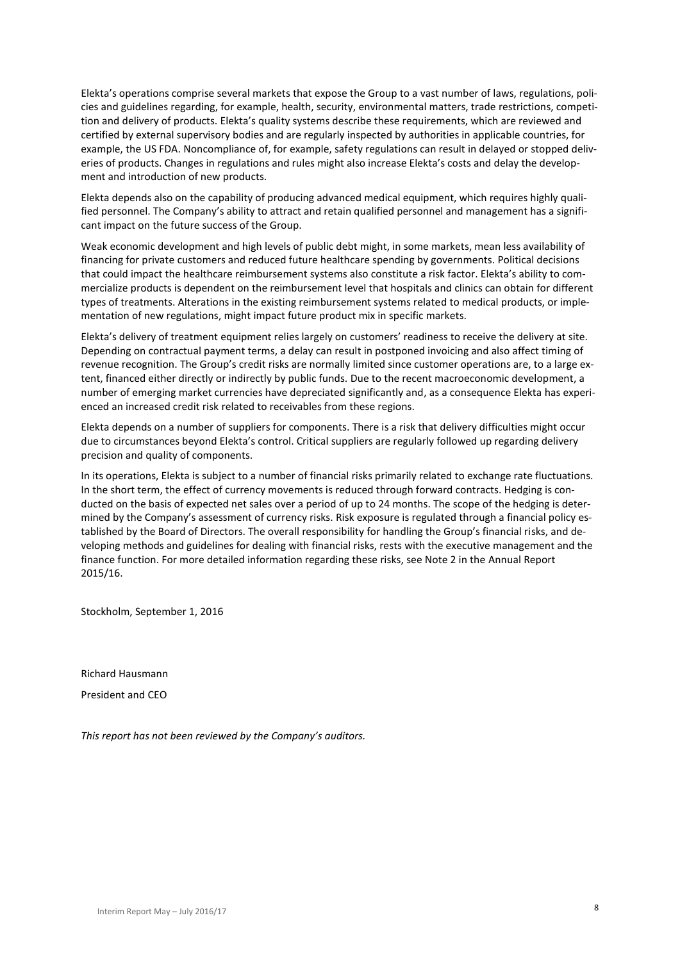Elekta's operations comprise several markets that expose the Group to a vast number of laws, regulations, policies and guidelines regarding, for example, health, security, environmental matters, trade restrictions, competition and delivery of products. Elekta's quality systems describe these requirements, which are reviewed and certified by external supervisory bodies and are regularly inspected by authorities in applicable countries, for example, the US FDA. Noncompliance of, for example, safety regulations can result in delayed or stopped deliveries of products. Changes in regulations and rules might also increase Elekta's costs and delay the development and introduction of new products.

Elekta depends also on the capability of producing advanced medical equipment, which requires highly qualified personnel. The Company's ability to attract and retain qualified personnel and management has a significant impact on the future success of the Group.

Weak economic development and high levels of public debt might, in some markets, mean less availability of financing for private customers and reduced future healthcare spending by governments. Political decisions that could impact the healthcare reimbursement systems also constitute a risk factor. Elekta's ability to commercialize products is dependent on the reimbursement level that hospitals and clinics can obtain for different types of treatments. Alterations in the existing reimbursement systems related to medical products, or implementation of new regulations, might impact future product mix in specific markets.

Elekta's delivery of treatment equipment relies largely on customers' readiness to receive the delivery at site. Depending on contractual payment terms, a delay can result in postponed invoicing and also affect timing of revenue recognition. The Group's credit risks are normally limited since customer operations are, to a large extent, financed either directly or indirectly by public funds. Due to the recent macroeconomic development, a number of emerging market currencies have depreciated significantly and, as a consequence Elekta has experienced an increased credit risk related to receivables from these regions.

Elekta depends on a number of suppliers for components. There is a risk that delivery difficulties might occur due to circumstances beyond Elekta's control. Critical suppliers are regularly followed up regarding delivery precision and quality of components.

In its operations, Elekta is subject to a number of financial risks primarily related to exchange rate fluctuations. In the short term, the effect of currency movements is reduced through forward contracts. Hedging is conducted on the basis of expected net sales over a period of up to 24 months. The scope of the hedging is determined by the Company's assessment of currency risks. Risk exposure is regulated through a financial policy established by the Board of Directors. The overall responsibility for handling the Group's financial risks, and developing methods and guidelines for dealing with financial risks, rests with the executive management and the finance function. For more detailed information regarding these risks, see Note 2 in the Annual Report 2015/16.

Stockholm, September 1, 2016

Richard Hausmann President and CEO

*This report has not been reviewed by the Company's auditors.*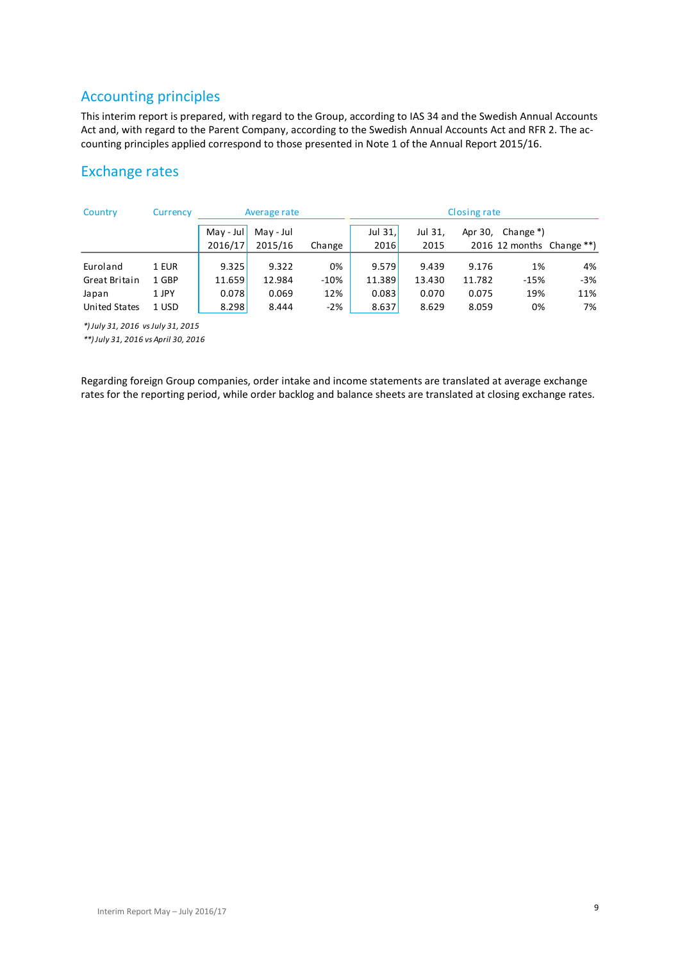## Accounting principles

This interim report is prepared, with regard to the Group, according to IAS 34 and the Swedish Annual Accounts Act and, with regard to the Parent Company, according to the Swedish Annual Accounts Act and RFR 2. The accounting principles applied correspond to those presented in Note 1 of the Annual Report 2015/16.

## Exchange rates

| Country                        | Currency | Closing rate<br>Average rate |                      |        |                   |                 |         |           |                              |
|--------------------------------|----------|------------------------------|----------------------|--------|-------------------|-----------------|---------|-----------|------------------------------|
|                                |          | $May - Jul$<br>2016/17       | May - Jul<br>2015/16 | Change | Jul $31.$<br>2016 | Jul 31,<br>2015 | Apr 30, | Change *) | 2016 12 months Change $**$ ) |
| Euroland                       | 1 EUR    | 9.325                        | 9.322                | 0%     | 9.579             | 9.439           | 9.176   | 1%        | 4%                           |
| Great Britain                  | 1 GBP    | 11.659                       | 12.984               | $-10%$ | 11.389            | 13.430          | 11.782  | $-15%$    | $-3%$                        |
| Japan                          | 1 JPY    | 0.078                        | 0.069                | 12%    | 0.083             | 0.070           | 0.075   | 19%       | 11%                          |
| <b>United States</b>           | 1 USD    | 8.298                        | 8.444                | $-2%$  | 8.637             | 8.629           | 8.059   | 0%        | 7%                           |
| * Iuly 31 2016 vs July 31 2015 |          |                              |                      |        |                   |                 |         |           |                              |

*\*) July 31, 2016 vs July 31, 2015*

*\*\*) July 31, 2016 vs April 30, 2016*

Regarding foreign Group companies, order intake and income statements are translated at average exchange rates for the reporting period, while order backlog and balance sheets are translated at closing exchange rates.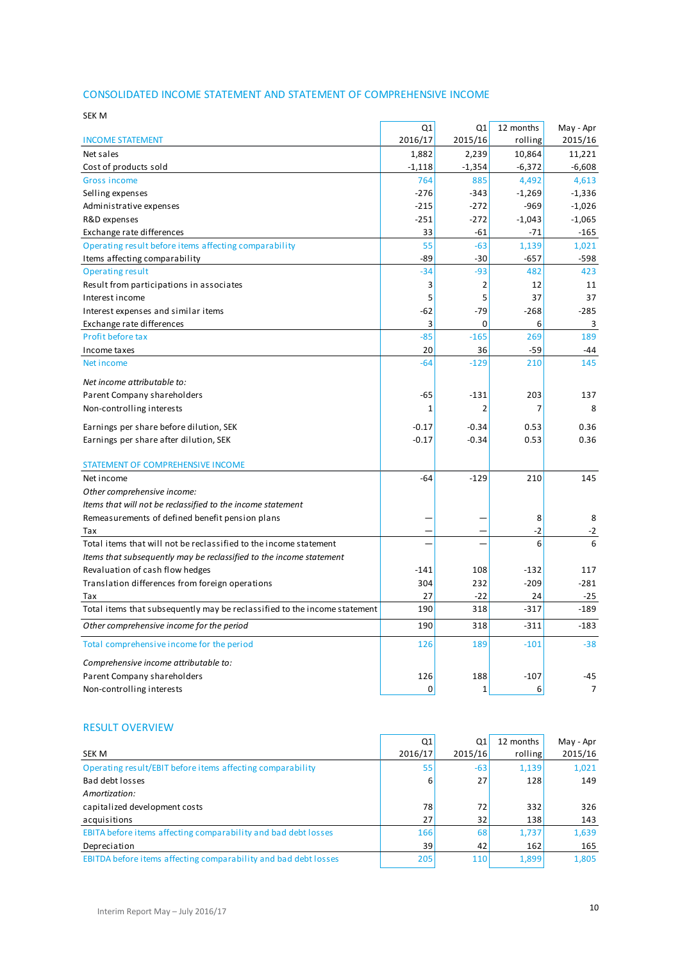### CONSOLIDATED INCOME STATEMENT AND STATEMENT OF COMPREHENSIVE INCOME

| SEK M                                                                     |          |                |           |                |
|---------------------------------------------------------------------------|----------|----------------|-----------|----------------|
|                                                                           | Q1       | Q <sub>1</sub> | 12 months | May - Apr      |
| <b>INCOME STATEMENT</b>                                                   | 2016/17  | 2015/16        | rolling   | 2015/16        |
| Net sales                                                                 | 1,882    | 2,239          | 10,864    | 11,221         |
| Cost of products sold                                                     | $-1,118$ | $-1,354$       | $-6,372$  | $-6,608$       |
| <b>Gross income</b>                                                       | 764      | 885            | 4,492     | 4,613          |
| Selling expenses                                                          | $-276$   | $-343$         | $-1,269$  | $-1,336$       |
| Administrative expenses                                                   | $-215$   | $-272$         | $-969$    | $-1,026$       |
| R&D expenses                                                              | $-251$   | $-272$         | $-1,043$  | $-1,065$       |
| Exchange rate differences                                                 | 33       | $-61$          | $-71$     | $-165$         |
| Operating result before items affecting comparability                     | 55       | $-63$          | 1,139     | 1,021          |
| Items affecting comparability                                             | $-89$    | $-30$          | $-657$    | -598           |
| <b>Operating result</b>                                                   | $-34$    | $-93$          | 482       | 423            |
| Result from participations in associates                                  | 3        | 2              | 12        | 11             |
| Interest income                                                           | 5        | 5              | 37        | 37             |
| Interest expenses and similar items                                       | -62      | $-79$          | $-268$    | $-285$         |
| Exchange rate differences                                                 | 3        | 0              | 6         | 3              |
| Profit before tax                                                         | $-85$    | $-165$         | 269       | 189            |
| Income taxes                                                              | 20       | 36             | $-59$     | -44            |
| Net income                                                                | $-64$    | $-129$         | 210       | 145            |
| Net income attributable to:                                               |          |                |           |                |
| Parent Company shareholders                                               | -65      | $-131$         | 203       | 137            |
| Non-controlling interests                                                 | 1        | $\overline{2}$ | 7         | 8              |
| Earnings per share before dilution, SEK                                   | $-0.17$  | $-0.34$        | 0.53      | 0.36           |
| Earnings per share after dilution, SEK                                    | $-0.17$  | $-0.34$        | 0.53      | 0.36           |
|                                                                           |          |                |           |                |
| STATEMENT OF COMPREHENSIVE INCOME                                         |          |                |           |                |
| Net income                                                                | $-64$    | $-129$         | 210       | 145            |
| Other comprehensive income:                                               |          |                |           |                |
| Items that will not be reclassified to the income statement               |          |                |           |                |
| Remeasurements of defined benefit pension plans                           |          |                | 8         | 8              |
| Tax                                                                       |          |                | $-2$      | $-2$           |
| Total items that will not be reclassified to the income statement         |          |                | 6         | 6              |
| Items that subsequently may be reclassified to the income statement       |          |                |           |                |
| Revaluation of cash flow hedges                                           | $-141$   | 108            | $-132$    | 117            |
| Translation differences from foreign operations                           | 304      | 232            | $-209$    | $-281$         |
| Tax                                                                       | 27       | $-22$          | 24        | $-25$          |
| Total items that subsequently may be reclassified to the income statement | 190      | 318            | $-317$    | $-189$         |
| Other comprehensive income for the period                                 | 190      | 318            | $-311$    | $-183$         |
| Total comprehensive income for the period                                 | 126      | 189            | $-101$    | $-38$          |
| Comprehensive income attributable to:                                     |          |                |           |                |
| Parent Company shareholders                                               | 126      | 188            | $-107$    | -45            |
| Non-controlling interests                                                 | 0        | 1              | 6         | $\overline{7}$ |

#### RESULT OVERVIEW

| <b>RESULT OVERVIEW</b>                                          |         |            |           |           |
|-----------------------------------------------------------------|---------|------------|-----------|-----------|
|                                                                 | Q1      | Q1         | 12 months | May - Apr |
| <b>SEK M</b>                                                    | 2016/17 | 2015/16    | rolling   | 2015/16   |
| Operating result/EBIT before items affecting comparability      | 55      | $-63$      | 1,139     | 1,021     |
| Bad debt losses                                                 | 6       | 27         | 128       | 149       |
| Amortization:                                                   |         |            |           |           |
| capitalized development costs                                   | 78      | 72         | 332       | 326       |
| acquisitions                                                    | 27      | 32         | 138       | 143       |
| EBITA before items affecting comparability and bad debt losses  | 166     | 68         | 1,737     | 1,639     |
| Depreciation                                                    | 39      | 42         | 162       | 165       |
| EBITDA before items affecting comparability and bad debt losses | 205     | <b>110</b> | 1,899     | 1,805     |
|                                                                 |         |            |           |           |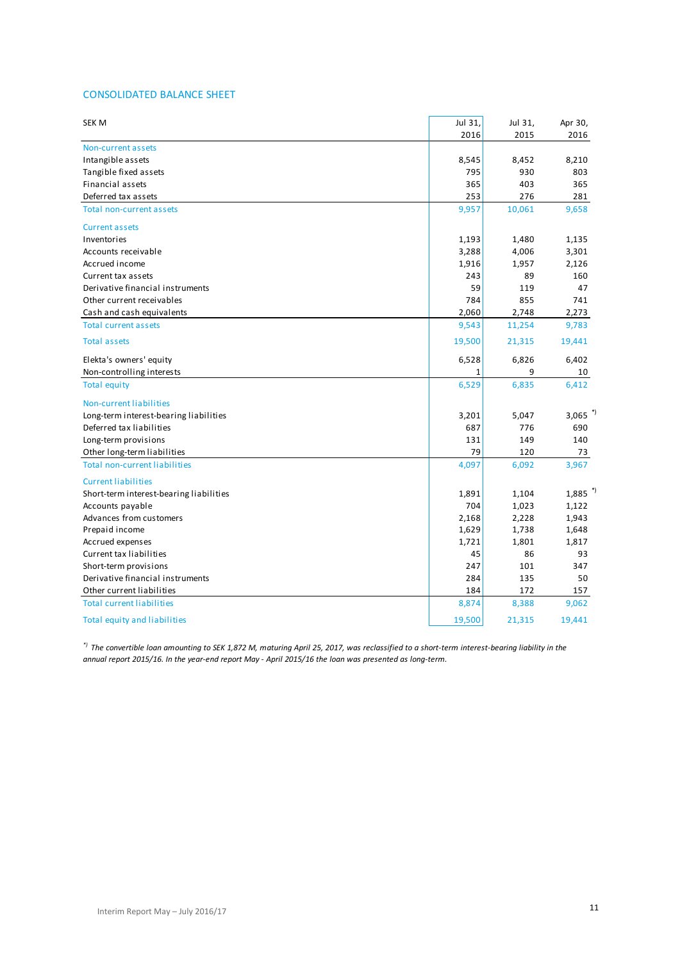### CONSOLIDATED BALANCE SHEET

| SEK M                                   | Jul 31, | Jul 31, | Apr 30,               |
|-----------------------------------------|---------|---------|-----------------------|
|                                         | 2016    | 2015    | 2016                  |
| Non-current assets                      |         |         |                       |
| Intangible assets                       | 8,545   | 8,452   | 8,210                 |
| Tangible fixed assets                   | 795     | 930     | 803                   |
| Financial assets                        | 365     | 403     | 365                   |
| Deferred tax assets                     | 253     | 276     | 281                   |
| Total non-current assets                | 9,957   | 10,061  | 9,658                 |
| <b>Current assets</b>                   |         |         |                       |
| Inventories                             | 1,193   | 1,480   | 1,135                 |
| Accounts receivable                     | 3,288   | 4,006   | 3,301                 |
| Accrued income                          | 1,916   | 1,957   | 2,126                 |
| Current tax assets                      | 243     | 89      | 160                   |
| Derivative financial instruments        | 59      | 119     | 47                    |
| Other current receivables               | 784     | 855     | 741                   |
| Cash and cash equivalents               | 2,060   | 2,748   | 2,273                 |
| <b>Total current assets</b>             | 9,543   | 11,254  | 9,783                 |
| <b>Total assets</b>                     | 19,500  | 21,315  | 19,441                |
| Elekta's owners' equity                 | 6,528   | 6,826   | 6,402                 |
| Non-controlling interests               | 1       | 9       | 10                    |
| <b>Total equity</b>                     | 6,529   | 6,835   | 6,412                 |
| Non-current liabilities                 |         |         |                       |
| Long-term interest-bearing liabilities  | 3,201   | 5,047   | 3,065 $*$             |
| Deferred tax liabilities                | 687     | 776     | 690                   |
| Long-term provisions                    | 131     | 149     | 140                   |
| Other long-term liabilities             | 79      | 120     | 73                    |
| <b>Total non-current liabilities</b>    | 4,097   | 6,092   | 3,967                 |
| <b>Current liabilities</b>              |         |         |                       |
| Short-term interest-bearing liabilities | 1,891   | 1,104   | $1,885$ <sup>*)</sup> |
| Accounts payable                        | 704     | 1,023   | 1,122                 |
| Advances from customers                 | 2,168   | 2,228   | 1,943                 |
| Prepaid income                          | 1,629   | 1,738   | 1,648                 |
| Accrued expenses                        | 1,721   | 1,801   | 1,817                 |
| Current tax liabilities                 | 45      | 86      | 93                    |
| Short-term provisions                   | 247     | 101     | 347                   |
| Derivative financial instruments        | 284     | 135     | 50                    |
| Other current liabilities               | 184     | 172     | 157                   |
| <b>Total current liabilities</b>        | 8,874   | 8,388   | 9,062                 |
| Total equity and liabilities            | 19,500  | 21,315  | 19,441                |

*\*) The convertible loan amounting to SEK 1,872 M, maturing April 25, 2017, was reclassified to a short-term interest-bearing liability in the annual report 2015/16. In the year-end report May - April 2015/16 the loan was presented as long-term.*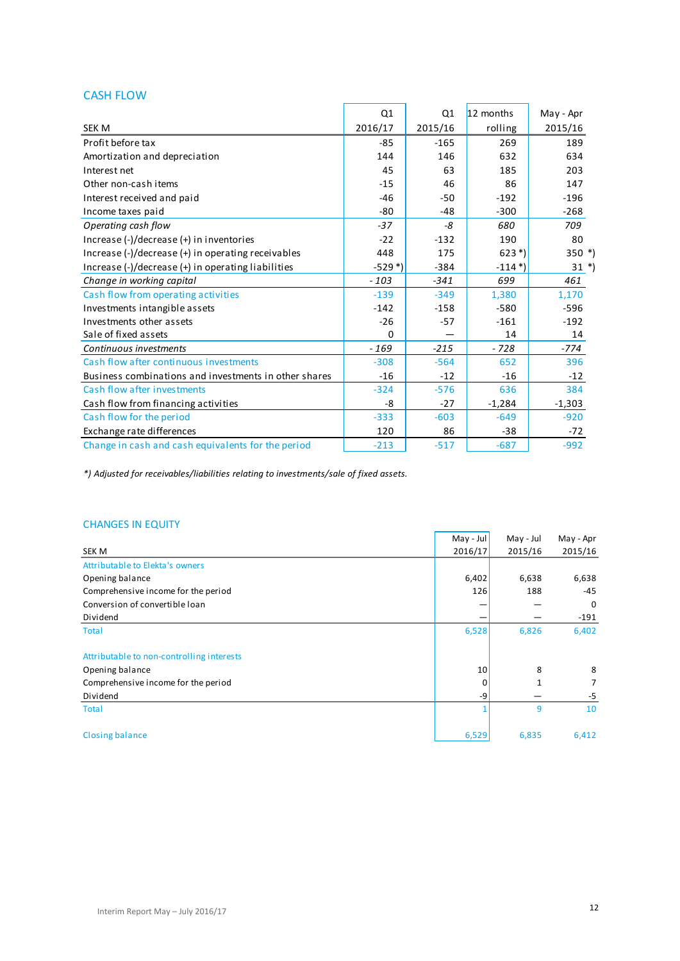## CASH FLOW

|                                                       | Q1                    | Q <sub>1</sub> | 12 months             | May - Apr |
|-------------------------------------------------------|-----------------------|----------------|-----------------------|-----------|
| SEK M                                                 | 2016/17               | 2015/16        | rolling               | 2015/16   |
| Profit before tax                                     | $-85$                 | $-165$         | 269                   | 189       |
| Amortization and depreciation                         | 144                   | 146            | 632                   | 634       |
| Interest net                                          | 45                    | 63             | 185                   | 203       |
| Other non-cash items                                  | $-15$                 | 46             | 86                    | 147       |
| Interest received and paid                            | $-46$                 | $-50$          | $-192$                | $-196$    |
| Income taxes paid                                     | $-80$                 | $-48$          | $-300$                | $-268$    |
| Operating cash flow                                   | $-37$                 | -8             | 680                   | 709       |
| Increase (-)/decrease (+) in inventories              | $-22$                 | $-132$         | 190                   | 80        |
| Increase (-)/decrease (+) in operating receivables    | 448                   | 175            | $623*)$               | $350$ *)  |
| Increase (-)/decrease (+) in operating liabilities    | $-529$ <sup>*</sup> ) | $-384$         | $-114$ <sup>*</sup> ) | $31 *$    |
| Change in working capital                             | $-103$                | $-341$         | 699                   | 461       |
| Cash flow from operating activities                   | $-139$                | $-349$         | 1,380                 | 1,170     |
| Investments intangible assets                         | $-142$                | $-158$         | $-580$                | $-596$    |
| Investments other assets                              | $-26$                 | $-57$          | $-161$                | $-192$    |
| Sale of fixed assets                                  | 0                     |                | 14                    | 14        |
| Continuous investments                                | $-169$                | $-215$         | $-728$                | $-774$    |
| Cash flow after continuous investments                | $-308$                | $-564$         | 652                   | 396       |
| Business combinations and investments in other shares | $-16$                 | $-12$          | $-16$                 | $-12$     |
| Cash flow after investments                           | $-324$                | $-576$         | 636                   | 384       |
| Cash flow from financing activities                   | -8                    | $-27$          | $-1,284$              | $-1,303$  |
| Cash flow for the period                              | $-333$                | $-603$         | $-649$                | $-920$    |
| Exchange rate differences                             | 120                   | 86             | $-38$                 | $-72$     |
| Change in cash and cash equivalents for the period    | $-213$                | $-517$         | $-687$                | $-992$    |

*\*) Adjusted for receivables/liabilities relating to investments/sale of fixed assets.*

### CHANGES IN EQUITY

|                                           | $May - Jul$     | May - Jul | May - Apr |
|-------------------------------------------|-----------------|-----------|-----------|
| SEK M                                     | 2016/17         | 2015/16   | 2015/16   |
| Attributable to Elekta's owners           |                 |           |           |
| Opening balance                           | 6,402           | 6,638     | 6,638     |
| Comprehensive income for the period       | 126             | 188       | $-45$     |
| Conversion of convertible loan            |                 |           | 0         |
| Dividend                                  |                 |           | $-191$    |
| <b>Total</b>                              | 6,528           | 6,826     | 6,402     |
| Attributable to non-controlling interests |                 |           |           |
| Opening balance                           | 10 <sub>2</sub> | 8         | 8         |
| Comprehensive income for the period       | 0               | 1         | 7         |
| Dividend                                  | -9              |           | -5        |
| <b>Total</b>                              |                 | 9         | 10        |
| <b>Closing balance</b>                    | 6,529           | 6,835     | 6,412     |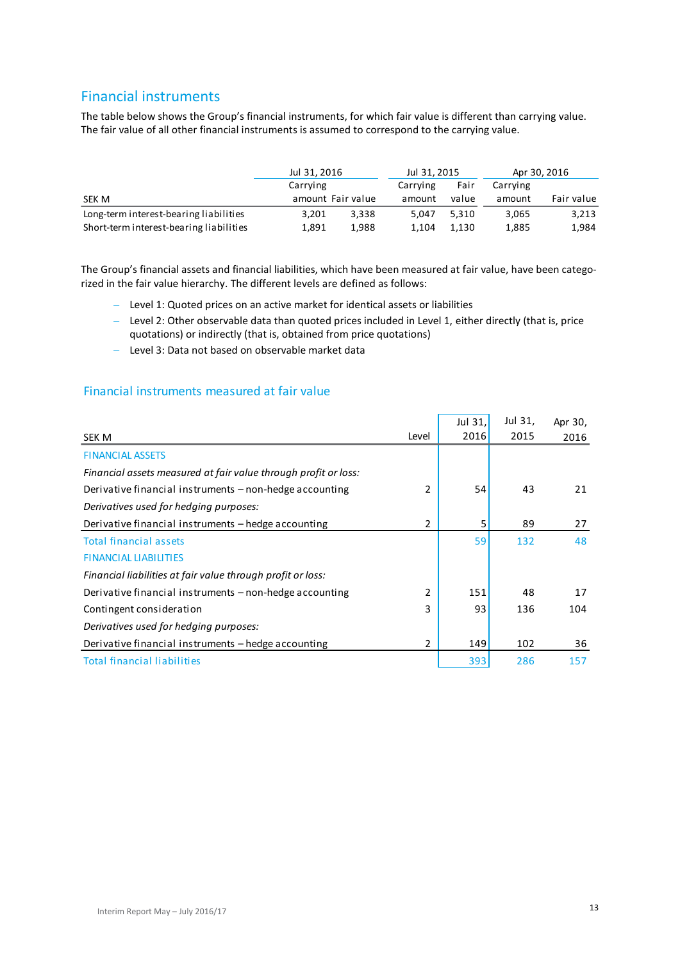## Financial instruments

The table below shows the Group's financial instruments, for which fair value is different than carrying value. The fair value of all other financial instruments is assumed to correspond to the carrying value.

|                                         | Jul 31, 2016 |                   |          | Jul 31, 2015 |          | Apr 30, 2016 |
|-----------------------------------------|--------------|-------------------|----------|--------------|----------|--------------|
|                                         | Carrying     |                   | Carrying | Fair         | Carrying |              |
| SEK M                                   |              | amount Fair value | amount   | value        | amount   | Fair value   |
| Long-term interest-bearing liabilities  | 3,201        | 3.338             | 5.047    | 5.310        | 3,065    | 3,213        |
| Short-term interest-bearing liabilities | 1.891        | 1.988             | 1.104    | 1.130        | 1,885    | 1,984        |

The Group's financial assets and financial liabilities, which have been measured at fair value, have been categorized in the fair value hierarchy. The different levels are defined as follows:

- Level 1: Quoted prices on an active market for identical assets or liabilities
- Level 2: Other observable data than quoted prices included in Level 1, either directly (that is, price quotations) or indirectly (that is, obtained from price quotations)
- Level 3: Data not based on observable market data

## Financial instruments measured at fair value

|                                                                 |       | Jul 31, | Jul 31, | Apr 30, |
|-----------------------------------------------------------------|-------|---------|---------|---------|
| SEK M                                                           | Level | 2016    | 2015    | 2016    |
| <b>FINANCIAL ASSETS</b>                                         |       |         |         |         |
| Financial assets measured at fair value through profit or loss: |       |         |         |         |
| Derivative financial instruments – non-hedge accounting         | 2     | 54      | 43      | 21      |
| Derivatives used for hedging purposes:                          |       |         |         |         |
| Derivative financial instruments – hedge accounting             | 2     | 5       | 89      | 27      |
| <b>Total financial assets</b>                                   |       | 59      | 132     | 48      |
| <b>FINANCIAL LIABILITIES</b>                                    |       |         |         |         |
| Financial liabilities at fair value through profit or loss:     |       |         |         |         |
| Derivative financial instruments – non-hedge accounting         | 2     | 151     | 48      | 17      |
| Contingent consideration                                        | 3     | 93      | 136     | 104     |
| Derivatives used for hedging purposes:                          |       |         |         |         |
| Derivative financial instruments – hedge accounting             | 2     | 149     | 102     | 36      |
| <b>Total financial liabilities</b>                              |       | 393     | 286     | 157     |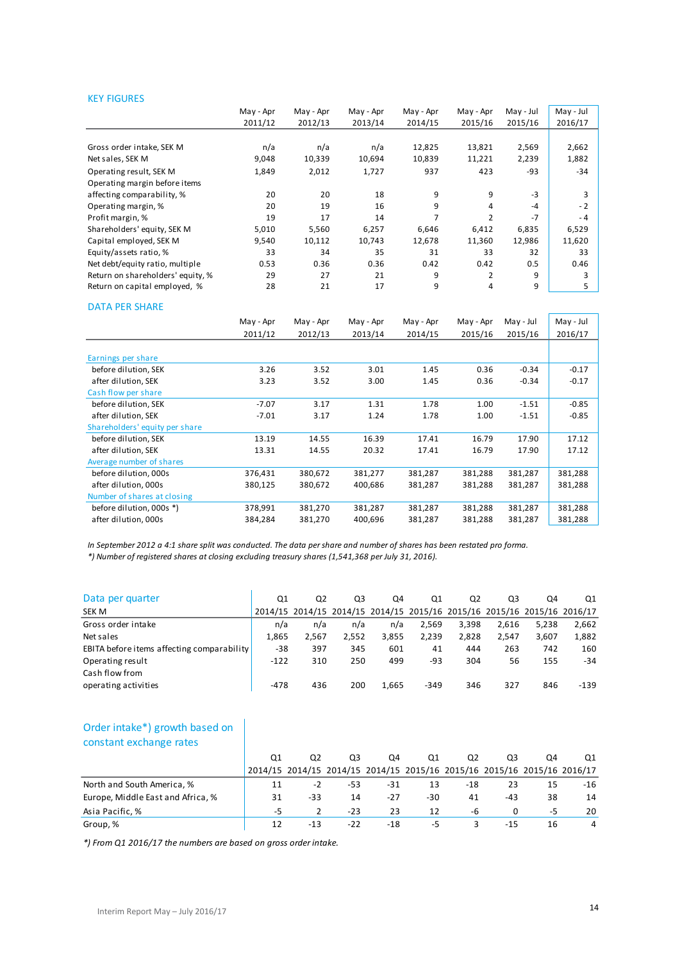#### KEY FIGURES

|                                   | May - Apr | May - Apr | May - Apr | May - Apr | May - Apr | May - Jul | May - Jul |
|-----------------------------------|-----------|-----------|-----------|-----------|-----------|-----------|-----------|
|                                   | 2011/12   | 2012/13   | 2013/14   | 2014/15   | 2015/16   | 2015/16   | 2016/17   |
|                                   |           |           |           |           |           |           |           |
| Gross order intake, SEK M         | n/a       | n/a       | n/a       | 12,825    | 13,821    | 2,569     | 2,662     |
| Net sales, SEK M                  | 9,048     | 10,339    | 10,694    | 10,839    | 11,221    | 2,239     | 1,882     |
| Operating result, SEK M           | 1,849     | 2,012     | 1,727     | 937       | 423       | -93       | $-34$     |
| Operating margin before items     |           |           |           |           |           |           |           |
| affecting comparability, %        | 20        | 20        | 18        | 9         | 9         | $-3$      |           |
| Operating margin, %               | 20        | 19        | 16        | 9         | 4         | $-4$      | $-2$      |
| Profit margin, %                  | 19        | 17        | 14        | 7         | 2         | $-7$      | $-4$      |
| Shareholders' equity, SEK M       | 5,010     | 5,560     | 6,257     | 6,646     | 6,412     | 6,835     | 6,529     |
| Capital employed, SEK M           | 9,540     | 10,112    | 10,743    | 12,678    | 11,360    | 12,986    | 11,620    |
| Equity/assets ratio, %            | 33        | 34        | 35        | 31        | 33        | 32        | 33        |
| Net debt/equity ratio, multiple   | 0.53      | 0.36      | 0.36      | 0.42      | 0.42      | 0.5       | 0.46      |
| Return on shareholders' equity, % | 29        | 27        | 21        | 9         | 2         | 9         | 3         |
| Return on capital employed, %     | 28        | 21        | 17        | 9         | 4         | 9         | 5         |
| <b>DATA DED CUADE</b>             |           |           |           |           |           |           |           |

| <b>DATA PER SHARE</b>          |           |           |           |           |           |           |           |
|--------------------------------|-----------|-----------|-----------|-----------|-----------|-----------|-----------|
|                                | May - Apr | May - Apr | May - Apr | May - Apr | May - Apr | May - Jul | May - Jul |
|                                | 2011/12   | 2012/13   | 2013/14   | 2014/15   | 2015/16   | 2015/16   | 2016/17   |
|                                |           |           |           |           |           |           |           |
| Earnings per share             |           |           |           |           |           |           |           |
| before dilution, SEK           | 3.26      | 3.52      | 3.01      | 1.45      | 0.36      | $-0.34$   | $-0.17$   |
| after dilution, SEK            | 3.23      | 3.52      | 3.00      | 1.45      | 0.36      | $-0.34$   | $-0.17$   |
| Cash flow per share            |           |           |           |           |           |           |           |
| before dilution, SEK           | $-7.07$   | 3.17      | 1.31      | 1.78      | 1.00      | $-1.51$   | $-0.85$   |
| after dilution, SEK            | $-7.01$   | 3.17      | 1.24      | 1.78      | 1.00      | $-1.51$   | $-0.85$   |
| Shareholders' equity per share |           |           |           |           |           |           |           |
| before dilution, SEK           | 13.19     | 14.55     | 16.39     | 17.41     | 16.79     | 17.90     | 17.12     |
| after dilution, SEK            | 13.31     | 14.55     | 20.32     | 17.41     | 16.79     | 17.90     | 17.12     |
| Average number of shares       |           |           |           |           |           |           |           |
| before dilution, 000s          | 376,431   | 380,672   | 381,277   | 381,287   | 381,288   | 381,287   | 381,288   |
| after dilution, 000s           | 380,125   | 380,672   | 400,686   | 381,287   | 381,288   | 381,287   | 381,288   |
| Number of shares at closing    |           |           |           |           |           |           |           |
| before dilution, 000s *)       | 378,991   | 381,270   | 381,287   | 381,287   | 381,288   | 381,287   | 381,288   |
| after dilution, 000s           | 384,284   | 381,270   | 400,696   | 381,287   | 381,288   | 381,287   | 381,288   |

*In September 2012 a 4:1 share split was conducted. The data per share and number of shares has been restated pro forma.*

*\*) Number of registered shares at closing excluding treasury shares (1,541,368 per July 31, 2016).*

| Data per quarter                           | Q1     | Q <sub>2</sub> | Q3    | Q4    | Q1                                                                      | Q <sub>2</sub> | Q3    | Q4    | Q1     |
|--------------------------------------------|--------|----------------|-------|-------|-------------------------------------------------------------------------|----------------|-------|-------|--------|
| SEK M                                      |        |                |       |       | 2014/15 2014/15 2014/15 2014/15 2015/16 2015/16 2015/16 2015/16 2016/17 |                |       |       |        |
| Gross order intake                         | n/a    | n/a            | n/a   | n/a   | 2,569                                                                   | 3,398          | 2.616 | 5,238 | 2,662  |
| Net sales                                  | 1.865  | 2.567          | 2.552 | 3,855 | 2.239                                                                   | 2.828          | 2.547 | 3.607 | 1,882  |
| EBITA before items affecting comparability | $-38$  | 397            | 345   | 601   | 41                                                                      | 444            | 263   | 742   | 160    |
| Operating result                           | $-122$ | 310            | 250   | 499   | -93                                                                     | 304            | 56    | 155   | $-34$  |
| Cash flow from                             |        |                |       |       |                                                                         |                |       |       |        |
| operating activities                       | -478   | 436            | 200   | 1,665 | $-349$                                                                  | 346            | 327   | 846   | $-139$ |

### Order intake\*) growth based on constant exchange rates

| constant exchange rates                                           |    |       |       |                                                                         |     |       |          |    |                |
|-------------------------------------------------------------------|----|-------|-------|-------------------------------------------------------------------------|-----|-------|----------|----|----------------|
|                                                                   | Q1 | Q2    | Q3    | Q4                                                                      | Q1  | Q2    | Q3       | O4 | Q1             |
|                                                                   |    |       |       | 2014/15 2014/15 2014/15 2014/15 2015/16 2015/16 2015/16 2015/16 2016/17 |     |       |          |    |                |
| North and South America, %                                        | 11 | $-2$  | -53   | -31                                                                     | 13  | $-18$ | 23       | 15 | $-16$          |
| Europe, Middle East and Africa, %                                 | 31 | -33   | 14    | $-27$                                                                   | -30 | 41    | -43      | 38 | 14             |
| Asia Pacific, %                                                   | -5 |       | $-23$ | 23                                                                      | 12  | -6    | $\Omega$ | -5 | 20             |
| Group, %                                                          | 12 | $-13$ | $-22$ | -18                                                                     | -5  |       | $-15$    | 16 | $\overline{4}$ |
| $*$ ) From 01 2016/17 the numbers are hased on aross order intake |    |       |       |                                                                         |     |       |          |    |                |

*\*) From Q1 2016/17 the numbers are based on gross order intake.*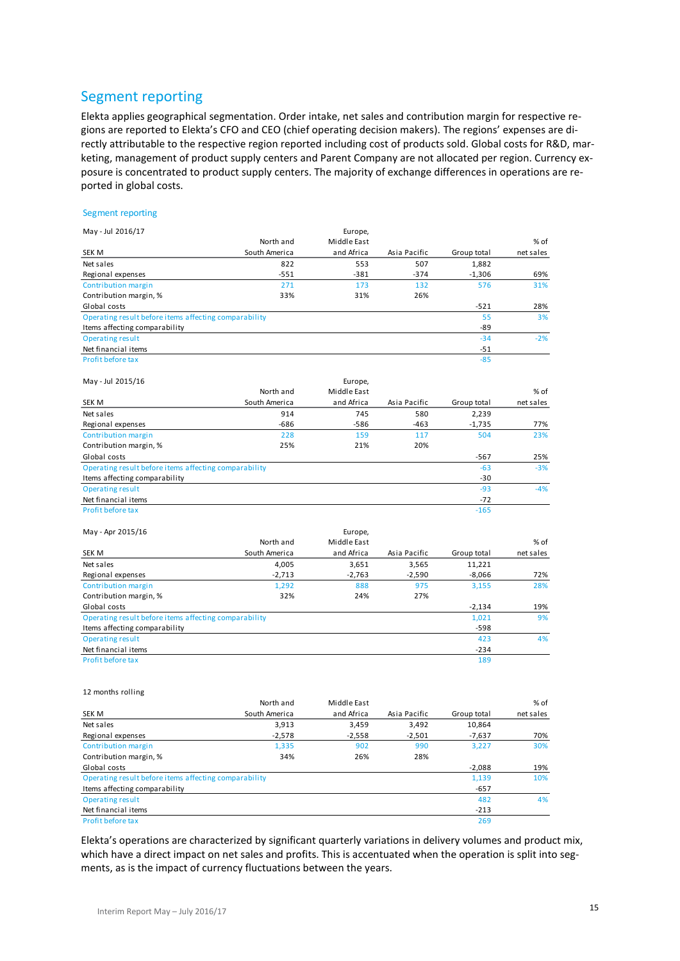## Segment reporting

Elekta applies geographical segmentation. Order intake, net sales and contribution margin for respective regions are reported to Elekta's CFO and CEO (chief operating decision makers). The regions' expenses are directly attributable to the respective region reported including cost of products sold. Global costs for R&D, marketing, management of product supply centers and Parent Company are not allocated per region. Currency exposure is concentrated to product supply centers. The majority of exchange differences in operations are reported in global costs.

#### Segment reporting

| May - Jul 2016/17                                     |               | Europe,     |              |             |           |
|-------------------------------------------------------|---------------|-------------|--------------|-------------|-----------|
|                                                       | North and     | Middle East |              |             | % of      |
| SEK M                                                 | South America | and Africa  | Asia Pacific | Group total | net sales |
| Net sales                                             | 822           | 553         | 507          | 1,882       |           |
| Regional expenses                                     | $-551$        | $-381$      | $-374$       | $-1,306$    | 69%       |
| Contribution margin                                   | 271           | 173         | 132          | 576         | 31%       |
| Contribution margin, %                                | 33%           | 31%         | 26%          |             |           |
| Global costs                                          |               |             |              | $-521$      | 28%       |
| Operating result before items affecting comparability |               |             |              | 55          | 3%        |
| Items affecting comparability                         |               |             |              | -89         |           |
| <b>Operating result</b>                               |               |             |              | $-34$       | $-2%$     |
| Net financial items                                   |               |             |              | $-51$       |           |
| Profit before tax                                     |               |             |              | $-85$       |           |
| May - Jul 2015/16                                     |               | Europe,     |              |             |           |
|                                                       | North and     | Middle East |              |             | % of      |
| SEK M                                                 | South America | and Africa  | Asia Pacific | Group total | net sales |
| Net sales                                             | 914           | 745         | 580          | 2,239       |           |
| Regional expenses                                     | $-686$        | $-586$      | $-463$       | $-1,735$    | 77%       |
| Contribution margin                                   | 228           | 159         | 117          | 504         | 23%       |
| Contribution margin, %                                | 25%           | 21%         | 20%          |             |           |
| Global costs                                          |               |             |              | $-567$      | 25%       |
| Operating result before items affecting comparability |               |             |              | $-63$       | $-3%$     |
| Items affecting comparability                         |               |             |              | $-30$       |           |
| <b>Operating result</b>                               |               |             |              | $-93$       | $-4%$     |
| Net financial items                                   |               |             |              | $-72$       |           |
| Profit before tax                                     |               |             |              | $-165$      |           |
| May - Apr 2015/16                                     |               | Europe,     |              |             |           |
|                                                       | North and     | Middle East |              |             | % of      |
| SEK M                                                 | South America | and Africa  | Asia Pacific | Group total | net sales |
| Net sales                                             | 4,005         | 3,651       | 3,565        | 11,221      |           |
| Regional expenses                                     | $-2,713$      | $-2,763$    | $-2,590$     | $-8,066$    | 72%       |
| Contribution margin                                   | 1,292         | 888         | 975          | 3,155       | 28%       |
| Contribution margin, %                                | 32%           | 24%         | 27%          |             |           |
| Global costs                                          |               |             |              | $-2,134$    | 19%       |
| Operating result before items affecting comparability |               |             |              | 1,021       | 9%        |
| Items affecting comparability                         |               |             |              | $-598$      |           |
| <b>Operating result</b>                               |               |             |              | 423         | 4%        |
| Net financial items                                   |               |             |              | $-234$      |           |
| Profit before tax                                     |               |             |              | 189         |           |
|                                                       |               |             |              |             |           |

#### 12 months rolling

|                                                       | North and     | Middle East |              |             | % of      |
|-------------------------------------------------------|---------------|-------------|--------------|-------------|-----------|
| <b>SEK M</b>                                          | South America | and Africa  | Asia Pacific | Group total | net sales |
| Net sales                                             | 3,913         | 3,459       | 3,492        | 10,864      |           |
| Regional expenses                                     | $-2,578$      | $-2,558$    | $-2,501$     | $-7,637$    | 70%       |
| Contribution margin                                   | 1,335         | 902         | 990          | 3.227       | 30%       |
| Contribution margin, %                                | 34%           | 26%         | 28%          |             |           |
| Global costs                                          |               |             |              | $-2.088$    | 19%       |
| Operating result before items affecting comparability |               |             |              | 1,139       | 10%       |
| Items affecting comparability                         |               |             |              | $-657$      |           |
| <b>Operating result</b>                               |               |             |              | 482         | 4%        |
| Net financial items                                   |               |             |              | $-213$      |           |
| <b>Profit before tax</b>                              |               |             |              | 269         |           |

Elekta's operations are characterized by significant quarterly variations in delivery volumes and product mix, which have a direct impact on net sales and profits. This is accentuated when the operation is split into segments, as is the impact of currency fluctuations between the years.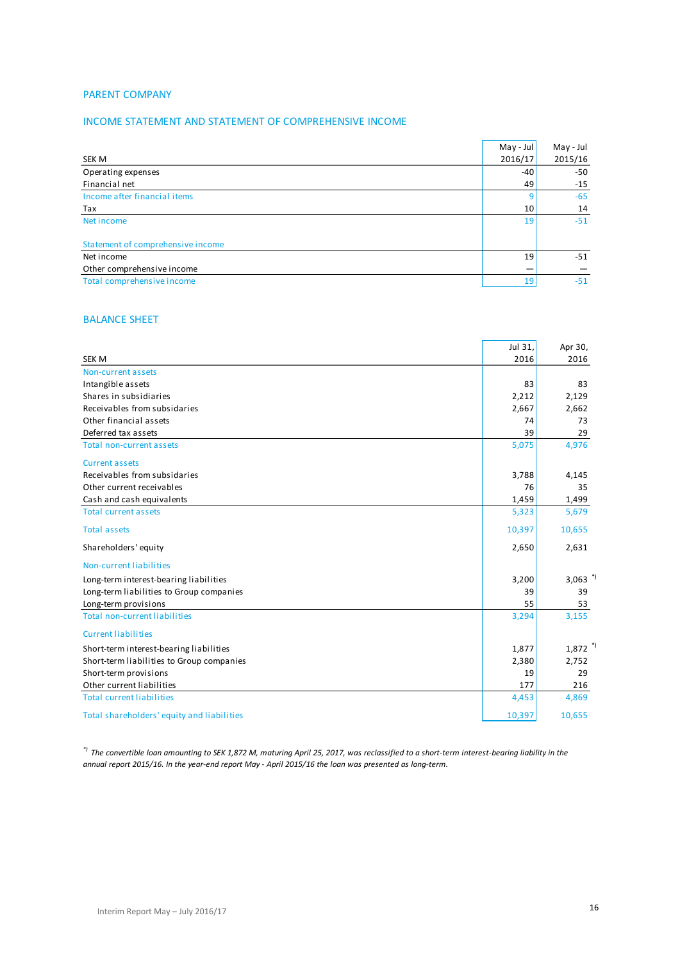### PARENT COMPANY

### INCOME STATEMENT AND STATEMENT OF COMPREHENSIVE INCOME

|                                   | May - Jul | May - Jul |
|-----------------------------------|-----------|-----------|
| SEK M                             | 2016/17   | 2015/16   |
| Operating expenses                | $-40$     | $-50$     |
| Financial net                     | 49        | $-15$     |
| Income after financial items      | 9         | $-65$     |
| Tax                               | 10        | 14        |
| Net income                        | 19        | $-51$     |
| Statement of comprehensive income |           |           |
| Net income                        | 19        | $-51$     |
| Other comprehensive income        |           |           |
| Total comprehensive income        | 19        | $-51$     |
|                                   |           |           |

### BALANCE SHEET

|                                            | Jul 31, | Apr 30,               |
|--------------------------------------------|---------|-----------------------|
| <b>SEK M</b>                               | 2016    | 2016                  |
| Non-current assets                         |         |                       |
| Intangible assets                          | 83      | 83                    |
| Shares in subsidiaries                     | 2,212   | 2,129                 |
| Receivables from subsidaries               | 2,667   | 2,662                 |
| Other financial assets                     | 74      | 73                    |
| Deferred tax assets                        | 39      | 29                    |
| <b>Total non-current assets</b>            | 5,075   | 4,976                 |
| <b>Current assets</b>                      |         |                       |
| Receivables from subsidaries               | 3,788   | 4,145                 |
| Other current receivables                  | 76      | 35                    |
| Cash and cash equivalents                  | 1,459   | 1,499                 |
| <b>Total current assets</b>                | 5,323   | 5,679                 |
| <b>Total assets</b>                        | 10,397  | 10,655                |
| Shareholders' equity                       | 2,650   | 2,631                 |
| Non-current liabilities                    |         |                       |
| Long-term interest-bearing liabilities     | 3,200   | $3,063$ <sup>*)</sup> |
| Long-term liabilities to Group companies   | 39      | 39                    |
| Long-term provisions                       | 55      | 53                    |
| <b>Total non-current liabilities</b>       | 3,294   | 3,155                 |
| <b>Current liabilities</b>                 |         |                       |
| Short-term interest-bearing liabilities    | 1,877   | $1,872$ <sup>*)</sup> |
| Short-term liabilities to Group companies  | 2,380   | 2,752                 |
| Short-term provisions                      | 19      | 29                    |
| Other current liabilities                  | 177     | 216                   |
| <b>Total current liabilities</b>           | 4,453   | 4,869                 |
| Total shareholders' equity and liabilities | 10,397  | 10,655                |

*\*) The convertible loan amounting to SEK 1,872 M, maturing April 25, 2017, was reclassified to a short-term interest-bearing liability in the annual report 2015/16. In the year-end report May - April 2015/16 the loan was presented as long-term.*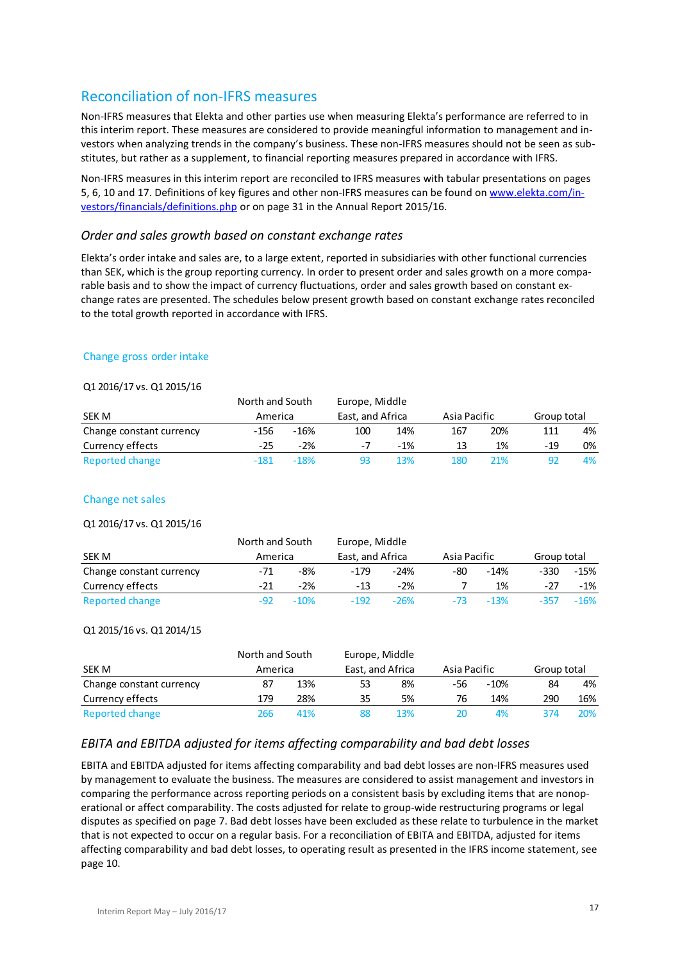## Reconciliation of non-IFRS measures

Non-IFRS measures that Elekta and other parties use when measuring Elekta's performance are referred to in this interim report. These measures are considered to provide meaningful information to management and investors when analyzing trends in the company's business. These non-IFRS measures should not be seen as substitutes, but rather as a supplement, to financial reporting measures prepared in accordance with IFRS.

Non-IFRS measures in this interim report are reconciled to IFRS measures with tabular presentations on pages 5, 6, 10 and 17. Definitions of key figures and other non-IFRS measures can be found o[n www.elekta.com/in](http://www.elekta.com/investors/financials/definitions.php)[vestors/financials/definitions.php](http://www.elekta.com/investors/financials/definitions.php) or on page 31 in the Annual Report 2015/16.

#### *Order and sales growth based on constant exchange rates*

Elekta's order intake and sales are, to a large extent, reported in subsidiaries with other functional currencies than SEK, which is the group reporting currency. In order to present order and sales growth on a more comparable basis and to show the impact of currency fluctuations, order and sales growth based on constant exchange rates are presented. The schedules below present growth based on constant exchange rates reconciled to the total growth reported in accordance with IFRS.

#### Change gross order intake

#### Q1 2016/17 vs. Q1 2015/16

| $Q + 2Q + Q$ , $Q + Q$ , $Q + 2Q + Q$ , $Q$ |                 |        |                  |       |              |     |             |    |
|---------------------------------------------|-----------------|--------|------------------|-------|--------------|-----|-------------|----|
|                                             | North and South |        | Europe, Middle   |       |              |     |             |    |
| SEK M                                       | America         |        | East, and Africa |       | Asia Pacific |     | Group total |    |
| Change constant currency                    | $-156$          | $-16%$ | 100              | 14%   | 167          | 20% | 111         | 4% |
| Currency effects                            | -25             | $-2%$  | -7               | $-1%$ | 13           | 1%  | $-19$       | 0% |
| Reported change                             | $-181$          | $-18%$ |                  | 13%   | 180          | 21% | 92          | 4% |

#### Change net sales

#### Q1 2016/17 vs. Q1 2015/16

|                          | North and South<br>America |        | Europe, Middle   |        |              |        |             |        |
|--------------------------|----------------------------|--------|------------------|--------|--------------|--------|-------------|--------|
| SEK M                    |                            |        | East, and Africa |        | Asia Pacific |        | Group total |        |
| Change constant currency | $-71$                      | -8%    | $-179$           | $-24%$ | -80          | $-14%$ | $-330$      | $-15%$ |
| Currency effects         | -21                        | $-2%$  | $-13$            | $-2%$  |              | 1%     | -27         | $-1%$  |
| Reported change          | -92                        | $-10%$ | $-192$           | $-26%$ | $-73$        | $-13%$ |             | $-16%$ |

#### Q1 2015/16 vs. Q1 2014/15

|                          | North and South |     | Europe, Middle   |     |              |        |             |     |
|--------------------------|-----------------|-----|------------------|-----|--------------|--------|-------------|-----|
| <b>SEK M</b>             | America         |     | East, and Africa |     | Asia Pacific |        | Group total |     |
| Change constant currency | 87              | 13% | 53               | 8%  | -56          | $-10%$ | 84          | 4%  |
| Currency effects         | 179             | 28% | 35               | 5%  | 76           | 14%    | 290         | 16% |
| Reported change          | 266             | 41% |                  | 13% |              | 4%     | 374         | 20% |

## *EBITA and EBITDA adjusted for items affecting comparability and bad debt losses*

EBITA and EBITDA adjusted for items affecting comparability and bad debt losses are non-IFRS measures used by management to evaluate the business. The measures are considered to assist management and investors in comparing the performance across reporting periods on a consistent basis by excluding items that are nonoperational or affect comparability. The costs adjusted for relate to group-wide restructuring programs or legal disputes as specified on page 7. Bad debt losses have been excluded as these relate to turbulence in the market that is not expected to occur on a regular basis. For a reconciliation of EBITA and EBITDA, adjusted for items affecting comparability and bad debt losses, to operating result as presented in the IFRS income statement, see page 10.